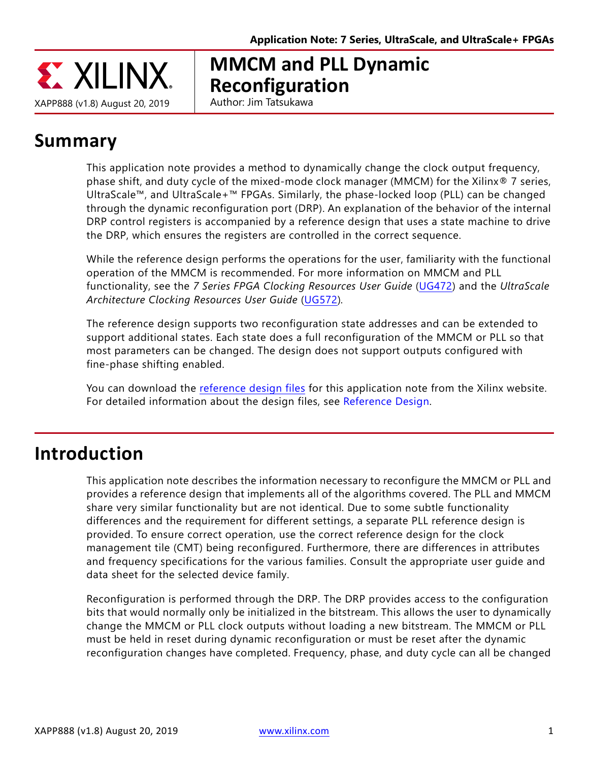

# **MMCM and PLL Dynamic Reconfiguration**

Author: Jim Tatsukawa

# <span id="page-0-0"></span>**Summary**

This application note provides a method to dynamically change the clock output frequency, phase shift, and duty cycle of the mixed-mode clock manager (MMCM) for the Xilinx® 7 series, UltraScale™, and UltraScale+™ FPGAs. Similarly, the phase-locked loop (PLL) can be changed through the dynamic reconfiguration port (DRP). An explanation of the behavior of the internal DRP control registers is accompanied by a reference design that uses a state machine to drive the DRP, which ensures the registers are controlled in the correct sequence.

While the reference design performs the operations for the user, familiarity with the functional operation of the MMCM is recommended. For more information on MMCM and PLL functionality, see the *7 Series FPGA Clocking Resources User Guide* ([UG472](http://www.xilinx.com/support/documentation/user_guides/ug472_7Series_Clocking.pdf)) and the *UltraScale Architecture Clocking Resources User Guide* [\(UG572](http://www.xilinx.com/support/documentation/user_guides/ug572-ultrascale-clocking.pdf))*.*

The reference design supports two reconfiguration state addresses and can be extended to support additional states. Each state does a full reconfiguration of the MMCM or PLL so that most parameters can be changed. The design does not support outputs configured with fine-phase shifting enabled.

You can download the [reference design files](https://secure.xilinx.com/webreg/clickthrough.do?cid=179222) for this application note from the Xilinx website. For detailed information about the design files, see [Reference Design.](#page-9-0)

## <span id="page-0-1"></span>**Introduction**

This application note describes the information necessary to reconfigure the MMCM or PLL and provides a reference design that implements all of the algorithms covered. The PLL and MMCM share very similar functionality but are not identical. Due to some subtle functionality differences and the requirement for different settings, a separate PLL reference design is provided. To ensure correct operation, use the correct reference design for the clock management tile (CMT) being reconfigured. Furthermore, there are differences in attributes and frequency specifications for the various families. Consult the appropriate user guide and data sheet for the selected device family.

Reconfiguration is performed through the DRP. The DRP provides access to the configuration bits that would normally only be initialized in the bitstream. This allows the user to dynamically change the MMCM or PLL clock outputs without loading a new bitstream. The MMCM or PLL must be held in reset during dynamic reconfiguration or must be reset after the dynamic reconfiguration changes have completed. Frequency, phase, and duty cycle can all be changed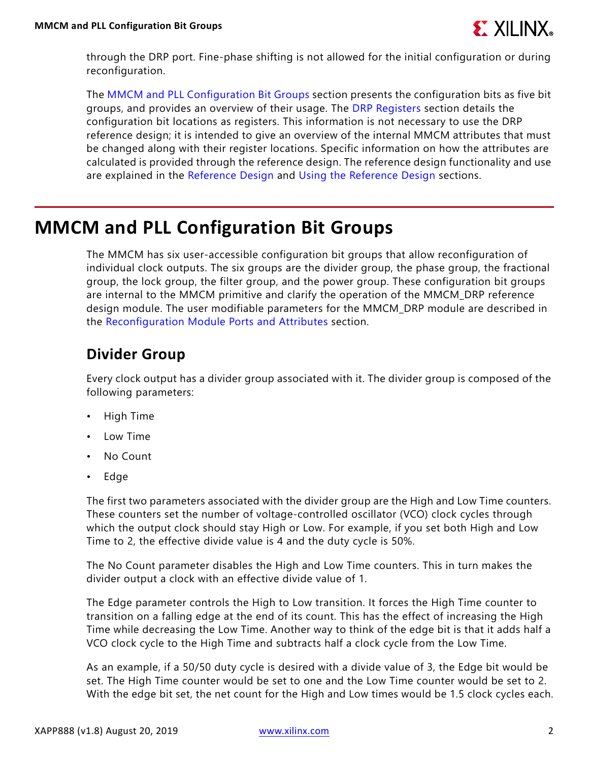through the DRP port. Fine-phase shifting is not allowed for the initial configuration or during reconfiguration.

The [MMCM and PLL Configuration Bit Groups](#page-1-0) section presents the configuration bits as five bit groups, and provides an overview of their usage. The [DRP Registers](#page-3-0) section details the configuration bit locations as registers. This information is not necessary to use the DRP reference design; it is intended to give an overview of the internal MMCM attributes that must be changed along with their register locations. Specific information on how the attributes are calculated is provided through the reference design. The reference design functionality and use are explained in the [Reference Design](#page-9-0) and [Using the Reference Design](#page-15-0) sections.

## <span id="page-1-0"></span>**MMCM and PLL Configuration Bit Groups**

The MMCM has six user-accessible configuration bit groups that allow reconfiguration of individual clock outputs. The six groups are the divider group, the phase group, the fractional group, the lock group, the filter group, and the power group. These configuration bit groups are internal to the MMCM primitive and clarify the operation of the MMCM\_DRP reference design module. The user modifiable parameters for the MMCM\_DRP module are described in the [Reconfiguration Module Ports and Attributes](#page-12-0) section.

### **Divider Group**

Every clock output has a divider group associated with it. The divider group is composed of the following parameters:

- High Time
- Low Time
- No Count
- Edge

The first two parameters associated with the divider group are the High and Low Time counters. These counters set the number of voltage-controlled oscillator (VCO) clock cycles through which the output clock should stay High or Low. For example, if you set both High and Low Time to 2, the effective divide value is 4 and the duty cycle is 50%.

The No Count parameter disables the High and Low Time counters. This in turn makes the divider output a clock with an effective divide value of 1.

The Edge parameter controls the High to Low transition. It forces the High Time counter to transition on a falling edge at the end of its count. This has the effect of increasing the High Time while decreasing the Low Time. Another way to think of the edge bit is that it adds half a VCO clock cycle to the High Time and subtracts half a clock cycle from the Low Time.

As an example, if a 50/50 duty cycle is desired with a divide value of 3, the Edge bit would be set. The High Time counter would be set to one and the Low Time counter would be set to 2. With the edge bit set, the net count for the High and Low times would be 1.5 clock cycles each.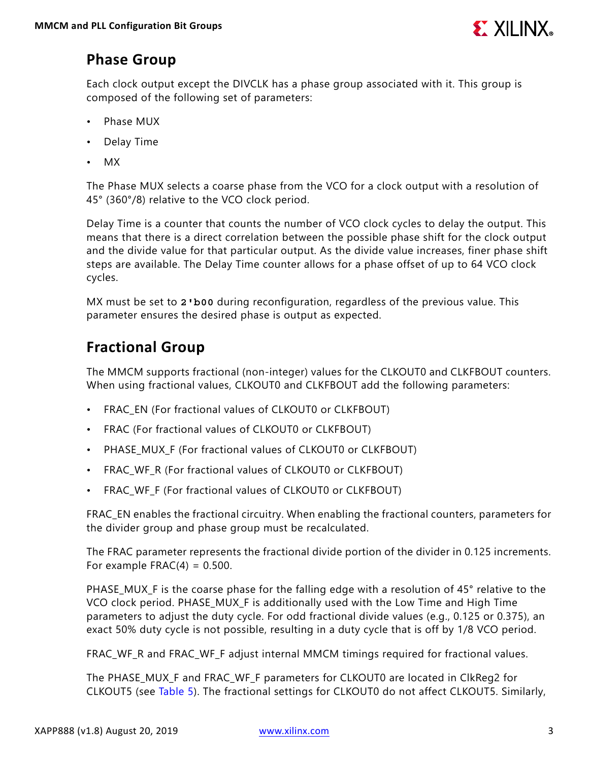

### **Phase Group**

Each clock output except the DIVCLK has a phase group associated with it. This group is composed of the following set of parameters:

- Phase MUX
- Delay Time
- MX

The Phase MUX selects a coarse phase from the VCO for a clock output with a resolution of 45° (360°/8) relative to the VCO clock period.

Delay Time is a counter that counts the number of VCO clock cycles to delay the output. This means that there is a direct correlation between the possible phase shift for the clock output and the divide value for that particular output. As the divide value increases, finer phase shift steps are available. The Delay Time counter allows for a phase offset of up to 64 VCO clock cycles.

MX must be set to 2'b00 during reconfiguration, regardless of the previous value. This parameter ensures the desired phase is output as expected.

## <span id="page-2-0"></span>**Fractional Group**

The MMCM supports fractional (non-integer) values for the CLKOUT0 and CLKFBOUT counters. When using fractional values, CLKOUT0 and CLKFBOUT add the following parameters:

- FRAC EN (For fractional values of CLKOUT0 or CLKFBOUT)
- FRAC (For fractional values of CLKOUT0 or CLKFBOUT)
- PHASE\_MUX\_F (For fractional values of CLKOUT0 or CLKFBOUT)
- FRAC\_WF\_R (For fractional values of CLKOUT0 or CLKFBOUT)
- FRAC\_WF\_F (For fractional values of CLKOUT0 or CLKFBOUT)

FRAC\_EN enables the fractional circuitry. When enabling the fractional counters, parameters for the divider group and phase group must be recalculated.

The FRAC parameter represents the fractional divide portion of the divider in 0.125 increments. For example  $FRAC(4) = 0.500$ .

PHASE MUX F is the coarse phase for the falling edge with a resolution of 45° relative to the VCO clock period. PHASE\_MUX\_F is additionally used with the Low Time and High Time parameters to adjust the duty cycle. For odd fractional divide values (e.g., 0.125 or 0.375), an exact 50% duty cycle is not possible, resulting in a duty cycle that is off by 1/8 VCO period.

FRAC\_WF\_R and FRAC\_WF\_F adjust internal MMCM timings required for fractional values.

The PHASE\_MUX\_F and FRAC\_WF\_F parameters for CLKOUT0 are located in ClkReg2 for CLKOUT5 (see [Table 5](#page-6-0)). The fractional settings for CLKOUT0 do not affect CLKOUT5. Similarly,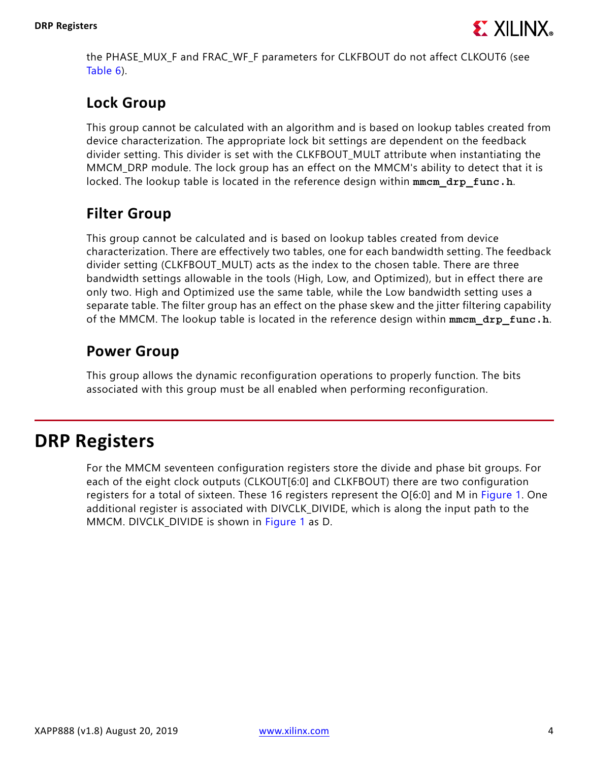

the PHASE\_MUX\_F and FRAC\_WF\_F parameters for CLKFBOUT do not affect CLKOUT6 (see [Table 6](#page-6-1)).

## **Lock Group**

This group cannot be calculated with an algorithm and is based on lookup tables created from device characterization. The appropriate lock bit settings are dependent on the feedback divider setting. This divider is set with the CLKFBOUT\_MULT attribute when instantiating the MMCM DRP module. The lock group has an effect on the MMCM's ability to detect that it is locked. The lookup table is located in the reference design within mmcm drp func.h.

## **Filter Group**

This group cannot be calculated and is based on lookup tables created from device characterization. There are effectively two tables, one for each bandwidth setting. The feedback divider setting (CLKFBOUT\_MULT) acts as the index to the chosen table. There are three bandwidth settings allowable in the tools (High, Low, and Optimized), but in effect there are only two. High and Optimized use the same table, while the Low bandwidth setting uses a separate table. The filter group has an effect on the phase skew and the jitter filtering capability of the MMCM. The lookup table is located in the reference design within  $mmcm$  drp func.h.

### **Power Group**

This group allows the dynamic reconfiguration operations to properly function. The bits associated with this group must be all enabled when performing reconfiguration.

# <span id="page-3-0"></span>**DRP Registers**

For the MMCM seventeen configuration registers store the divide and phase bit groups. For each of the eight clock outputs (CLKOUT[6:0] and CLKFBOUT) there are two configuration registers for a total of sixteen. These 16 registers represent the O[6:0] and M in [Figure 1](#page-4-0). One additional register is associated with DIVCLK\_DIVIDE, which is along the input path to the MMCM. DIVCLK\_DIVIDE is shown in [Figure 1](#page-4-0) as D.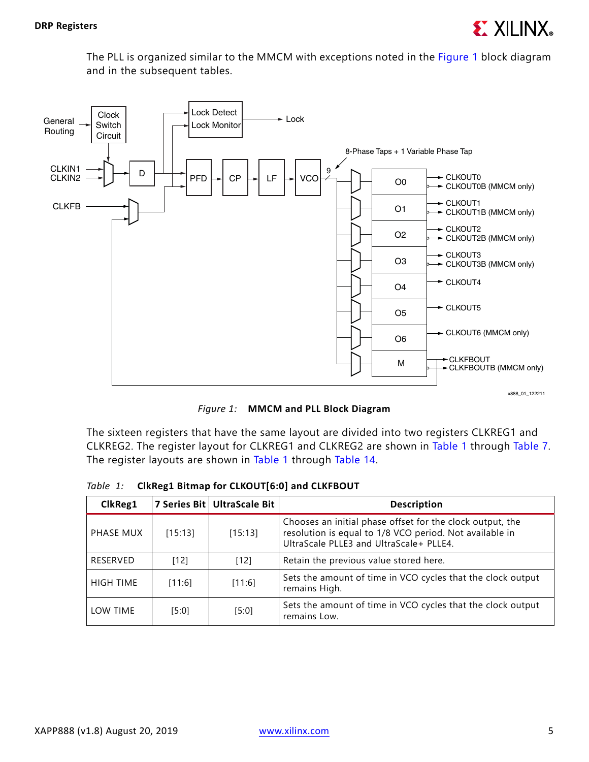The PLL is organized similar to the MMCM with exceptions noted in the [Figure 1](#page-4-0) block diagram and in the subsequent tables.

<span id="page-4-0"></span>

x888\_01\_122211

*Figure 1:* **MMCM and PLL Block Diagram**

The sixteen registers that have the same layout are divided into two registers CLKREG1 and CLKREG2. The register layout for CLKREG1 and CLKREG2 are shown in [Table 1](#page-4-1) through [Table 7](#page-6-2). The register layouts are shown in [Table 1](#page-4-1) through [Table 14.](#page-8-0)

<span id="page-4-1"></span>

|  | Table 1: ClkReg1 Bitmap for CLKOUT[6:0] and CLKFBOUT |  |  |
|--|------------------------------------------------------|--|--|
|--|------------------------------------------------------|--|--|

<span id="page-4-2"></span>

| ClkReg1   |         | 7 Series Bit   UltraScale Bit | <b>Description</b>                                                                                                                                              |
|-----------|---------|-------------------------------|-----------------------------------------------------------------------------------------------------------------------------------------------------------------|
| PHASE MUX | [15:13] | [15:13]                       | Chooses an initial phase offset for the clock output, the<br>resolution is equal to 1/8 VCO period. Not available in<br>UltraScale PLLE3 and UltraScale+ PLLE4. |
| RESERVED  | $[12]$  | $[12]$                        | Retain the previous value stored here.                                                                                                                          |
| HIGH TIME | [11:6]  | [11:6]                        | Sets the amount of time in VCO cycles that the clock output<br>remains High.                                                                                    |
| LOW TIME  | [5:0]   | $[5:0]$                       | Sets the amount of time in VCO cycles that the clock output<br>remains Low.                                                                                     |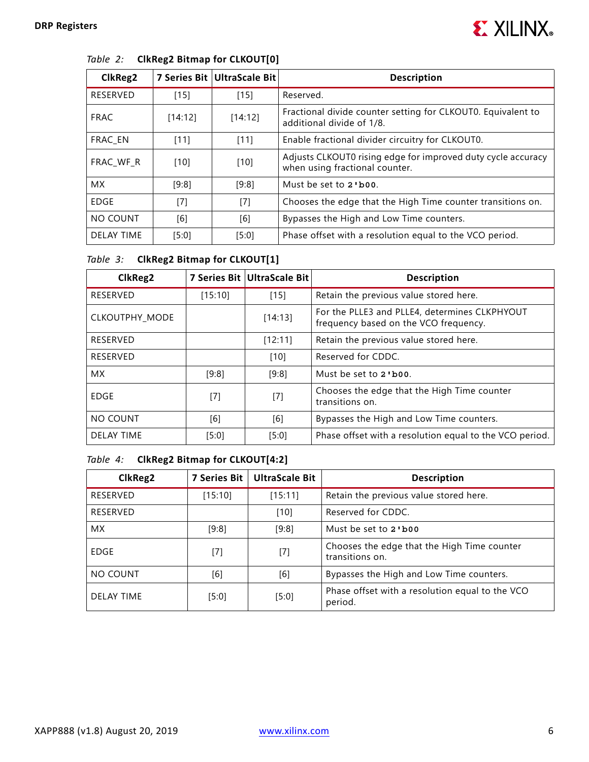

| ClkReg2           | 7 Series Bit | UltraScale Bit | <b>Description</b>                                                                             |
|-------------------|--------------|----------------|------------------------------------------------------------------------------------------------|
| <b>RESERVED</b>   | [15]         | [15]           | Reserved.                                                                                      |
| <b>FRAC</b>       | [14:12]      | [14:12]        | Fractional divide counter setting for CLKOUT0. Equivalent to<br>additional divide of 1/8.      |
| FRAC EN           | [11]         | [11]           | Enable fractional divider circuitry for CLKOUT0.                                               |
| FRAC_WF_R         | $[10]$       | $[10]$         | Adjusts CLKOUT0 rising edge for improved duty cycle accuracy<br>when using fractional counter. |
| <b>MX</b>         | [9:8]        | [9:8]          | Must be set to 2'b00.                                                                          |
| <b>EDGE</b>       | [7]          | [7]            | Chooses the edge that the High Time counter transitions on.                                    |
| NO COUNT          | [6]          | [6]            | Bypasses the High and Low Time counters.                                                       |
| <b>DELAY TIME</b> | $[5:0]$      | [5:0]          | Phase offset with a resolution equal to the VCO period.                                        |

#### <span id="page-5-0"></span>*Table 2:* **ClkReg2 Bitmap for CLKOUT[0]**

#### <span id="page-5-1"></span>*Table 3:* **ClkReg2 Bitmap for CLKOUT[1]**

| ClkReg2           | 7 Series Bit | <b>UltraScale Bit</b> | <b>Description</b>                                                                     |
|-------------------|--------------|-----------------------|----------------------------------------------------------------------------------------|
| <b>RESERVED</b>   | [15:10]      | $[15]$                | Retain the previous value stored here.                                                 |
| CLKOUTPHY_MODE    |              | [14:13]               | For the PLLE3 and PLLE4, determines CLKPHYOUT<br>frequency based on the VCO frequency. |
| <b>RESERVED</b>   |              | [12:11]               | Retain the previous value stored here.                                                 |
| <b>RESERVED</b>   |              | $[10]$                | Reserved for CDDC.                                                                     |
| MX.               | [9:8]        | [9:8]                 | Must be set to 2 'b00.                                                                 |
| EDGE              | [7]          | $[7]$                 | Chooses the edge that the High Time counter<br>transitions on.                         |
| NO COUNT          | [6]          | [6]                   | Bypasses the High and Low Time counters.                                               |
| <b>DELAY TIME</b> | $[5:0]$      | $[5:0]$               | Phase offset with a resolution equal to the VCO period.                                |

#### <span id="page-5-2"></span>*Table 4:* **ClkReg2 Bitmap for CLKOUT[4:2]**

| ClkReg2           | <b>7 Series Bit</b> | <b>UltraScale Bit</b> | <b>Description</b>                                             |
|-------------------|---------------------|-----------------------|----------------------------------------------------------------|
| <b>RESERVED</b>   | [15:10]             | [15:11]               | Retain the previous value stored here.                         |
| RESERVED          |                     | $[10]$                | Reserved for CDDC.                                             |
| MX.               | [9:8]               | [9:8]                 | Must be set to 2 'b00                                          |
| <b>EDGE</b>       | [7]                 | $[7]$                 | Chooses the edge that the High Time counter<br>transitions on. |
| NO COUNT          | [6]                 | [6]                   | Bypasses the High and Low Time counters.                       |
| <b>DELAY TIME</b> | $[5:0]$             | $[5:0]$               | Phase offset with a resolution equal to the VCO<br>period.     |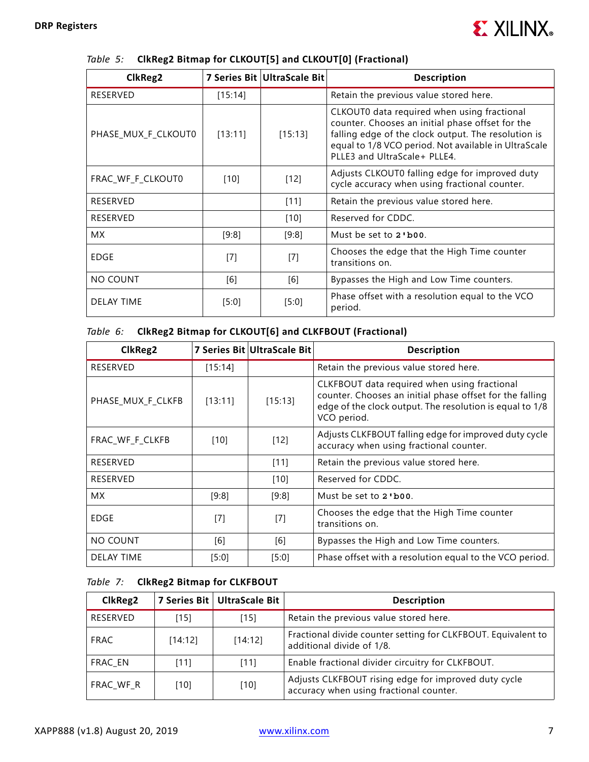

#### <span id="page-6-0"></span>*Table 5:* **ClkReg2 Bitmap for CLKOUT[5] and CLKOUT[0] (Fractional)**

<span id="page-6-3"></span>

| ClkReg2             |         | 7 Series Bit UltraScale Bit | <b>Description</b>                                                                                                                                                                                                                             |
|---------------------|---------|-----------------------------|------------------------------------------------------------------------------------------------------------------------------------------------------------------------------------------------------------------------------------------------|
| RESERVED            | [15:14] |                             | Retain the previous value stored here.                                                                                                                                                                                                         |
| PHASE_MUX_F_CLKOUT0 | [13:11] | [15:13]                     | CLKOUT0 data required when using fractional<br>counter. Chooses an initial phase offset for the<br>falling edge of the clock output. The resolution is<br>equal to 1/8 VCO period. Not available in UltraScale<br>PLLE3 and UltraScale+ PLLE4. |
| FRAC_WF_F_CLKOUT0   | $[10]$  | $[12]$                      | Adjusts CLKOUT0 falling edge for improved duty<br>cycle accuracy when using fractional counter.                                                                                                                                                |
| RESERVED            |         | $[11]$                      | Retain the previous value stored here.                                                                                                                                                                                                         |
| <b>RESERVED</b>     |         | $[10]$                      | Reserved for CDDC.                                                                                                                                                                                                                             |
| МX                  | [9:8]   | [9:8]                       | Must be set to 2 'b00.                                                                                                                                                                                                                         |
| <b>EDGE</b>         | $[7]$   | $[7]$                       | Chooses the edge that the High Time counter<br>transitions on.                                                                                                                                                                                 |
| NO COUNT            | [6]     | [6]                         | Bypasses the High and Low Time counters.                                                                                                                                                                                                       |
| <b>DELAY TIME</b>   | [5:0]   | [5:0]                       | Phase offset with a resolution equal to the VCO<br>period.                                                                                                                                                                                     |

#### <span id="page-6-1"></span>*Table 6:* **ClkReg2 Bitmap for CLKOUT[6] and CLKFBOUT (Fractional)**

| ClkReg2           |         | 7 Series Bit UltraScale Bit | <b>Description</b>                                                                                                                                                                  |
|-------------------|---------|-----------------------------|-------------------------------------------------------------------------------------------------------------------------------------------------------------------------------------|
| <b>RESERVED</b>   | [15:14] |                             | Retain the previous value stored here.                                                                                                                                              |
| PHASE_MUX_F_CLKFB | [13:11] | [15:13]                     | CLKFBOUT data required when using fractional<br>counter. Chooses an initial phase offset for the falling<br>edge of the clock output. The resolution is equal to 1/8<br>VCO period. |
| FRAC_WF_F_CLKFB   | $[10]$  | $[12]$                      | Adjusts CLKFBOUT falling edge for improved duty cycle<br>accuracy when using fractional counter.                                                                                    |
| RESERVED          |         | $[11]$                      | Retain the previous value stored here.                                                                                                                                              |
| <b>RESERVED</b>   |         | $[10]$                      | Reserved for CDDC.                                                                                                                                                                  |
| MX.               | [9:8]   | [9:8]                       | Must be set to 2'b00.                                                                                                                                                               |
| <b>EDGE</b>       | [7]     | $[7]$                       | Chooses the edge that the High Time counter<br>transitions on.                                                                                                                      |
| NO COUNT          | [6]     | [6]                         | Bypasses the High and Low Time counters.                                                                                                                                            |
| <b>DELAY TIME</b> | $[5:0]$ | $[5:0]$                     | Phase offset with a resolution equal to the VCO period.                                                                                                                             |

#### <span id="page-6-2"></span>*Table 7:* **ClkReg2 Bitmap for CLKFBOUT**

| ClkReg2        |         | 7 Series Bit   UltraScale Bit | <b>Description</b>                                                                              |
|----------------|---------|-------------------------------|-------------------------------------------------------------------------------------------------|
| RESERVED       | $[15]$  | $[15]$                        | Retain the previous value stored here.                                                          |
| <b>FRAC</b>    | [14:12] | [14:12]                       | Fractional divide counter setting for CLKFBOUT. Equivalent to<br>additional divide of 1/8.      |
| <b>FRAC EN</b> | [11]    | [11]                          | Enable fractional divider circuitry for CLKFBOUT.                                               |
| FRAC WF R      | $[10]$  | $[10]$                        | Adjusts CLKFBOUT rising edge for improved duty cycle<br>accuracy when using fractional counter. |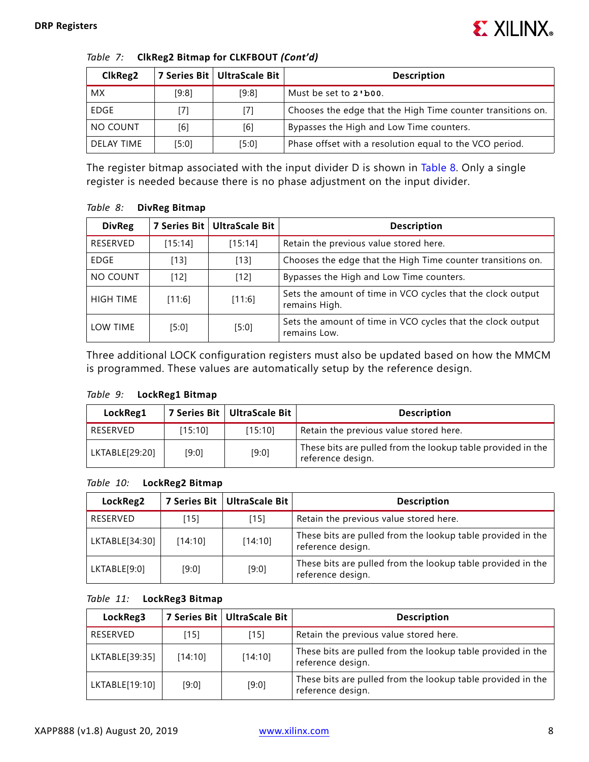

| ClkReg2    |       | 7 Series Bit   UltraScale Bit | <b>Description</b>                                          |
|------------|-------|-------------------------------|-------------------------------------------------------------|
| МX         | [9:8] | [9:8]                         | Must be set to 2'b00.                                       |
| EDGE       | [7]   | [7]                           | Chooses the edge that the High Time counter transitions on. |
| NO COUNT   | [6]   | [6]                           | Bypasses the High and Low Time counters.                    |
| DELAY TIME | [5:0] | [5:0]                         | Phase offset with a resolution equal to the VCO period.     |

*Table 7:* **ClkReg2 Bitmap for CLKFBOUT** *(Cont'd)*

The register bitmap associated with the input divider D is shown in [Table 8](#page-7-0). Only a single register is needed because there is no phase adjustment on the input divider.

#### <span id="page-7-0"></span>*Table 8:* **DivReg Bitmap**

| <b>DivReg</b>   |         | 7 Series Bit   UltraScale Bit | <b>Description</b>                                                           |
|-----------------|---------|-------------------------------|------------------------------------------------------------------------------|
| <b>RESERVED</b> | [15:14] | [15:14]                       | Retain the previous value stored here.                                       |
| <b>EDGE</b>     | [13]    | [13]                          | Chooses the edge that the High Time counter transitions on.                  |
| NO COUNT        | $[12]$  | $[12]$                        | Bypasses the High and Low Time counters.                                     |
| HIGH TIME       | [11:6]  | [11:6]                        | Sets the amount of time in VCO cycles that the clock output<br>remains High. |
| LOW TIME        | [5:0]   | $[5:0]$                       | Sets the amount of time in VCO cycles that the clock output<br>remains Low.  |

Three additional LOCK configuration registers must also be updated based on how the MMCM is programmed. These values are automatically setup by the reference design.

| Table 9: |  | LockReg1 Bitmap |  |
|----------|--|-----------------|--|
|----------|--|-----------------|--|

| LockReg1       |         | 7 Series Bit   UltraScale Bit | <b>Description</b>                                                               |
|----------------|---------|-------------------------------|----------------------------------------------------------------------------------|
| RESERVED       | [15:10] | [15:10]                       | Retain the previous value stored here.                                           |
| LKTABLE[29:20] | [9:0]   | [9:0]                         | These bits are pulled from the lookup table provided in the<br>reference design. |

*Table 10:* **LockReg2 Bitmap**

| LockReg2       |         | 7 Series Bit   UltraScale Bit | <b>Description</b>                                                               |
|----------------|---------|-------------------------------|----------------------------------------------------------------------------------|
| RESERVED       | [15]    | [15]                          | Retain the previous value stored here.                                           |
| LKTABLE[34:30] | [14:10] | [14:10]                       | These bits are pulled from the lookup table provided in the<br>reference design. |
| LKTABLE[9:0]   | [9:0]   | [9:0]                         | These bits are pulled from the lookup table provided in the<br>reference design. |

*Table 11:* **LockReg3 Bitmap**

| LockReg3       |         | 7 Series Bit   UltraScale Bit | <b>Description</b>                                                               |
|----------------|---------|-------------------------------|----------------------------------------------------------------------------------|
| RESERVED       | [15]    | [15]                          | Retain the previous value stored here.                                           |
| LKTABLE[39:35] | [14:10] | [14:10]                       | These bits are pulled from the lookup table provided in the<br>reference design. |
| LKTABLE[19:10] | [9:0]   | [9:0]                         | These bits are pulled from the lookup table provided in the<br>reference design. |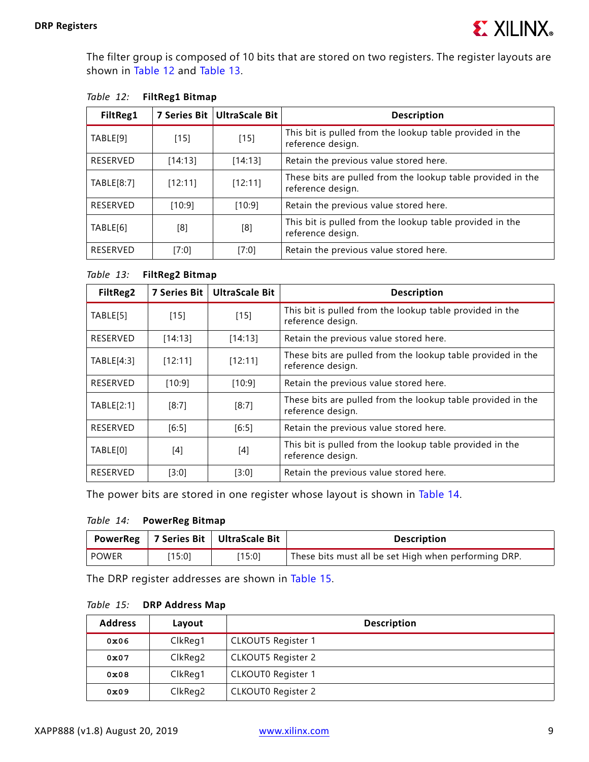

The filter group is composed of 10 bits that are stored on two registers. The register layouts are shown in [Table 12](#page-8-1) and [Table 13](#page-8-2).

| FiltReg1   | 7 Series Bit | UltraScale Bit | <b>Description</b>                                                               |  |
|------------|--------------|----------------|----------------------------------------------------------------------------------|--|
| TABLE[9]   | $[15]$       | $[15]$         | This bit is pulled from the lookup table provided in the<br>reference design.    |  |
| RESERVED   | [14:13]      | [14:13]        | Retain the previous value stored here.                                           |  |
| TABLE[8:7] | [12:11]      | [12:11]        | These bits are pulled from the lookup table provided in the<br>reference design. |  |
| RESERVED   | [10:9]       | [10:9]         | Retain the previous value stored here.                                           |  |
| TABLE[6]   | [8]          | [8]            | This bit is pulled from the lookup table provided in the<br>reference design.    |  |
| RESERVED   | [7:0]        | [7:0]          | Retain the previous value stored here.                                           |  |

<span id="page-8-1"></span>*Table 12:* **FiltReg1 Bitmap**

<span id="page-8-2"></span>*Table 13:* **FiltReg2 Bitmap**

| FiltReg2        | <b>7 Series Bit</b> | <b>UltraScale Bit</b> | <b>Description</b>                                                               |  |
|-----------------|---------------------|-----------------------|----------------------------------------------------------------------------------|--|
| TABLE[5]        | $[15]$              | $[15]$                | This bit is pulled from the lookup table provided in the<br>reference design.    |  |
| <b>RESERVED</b> | [14:13]             | [14:13]               | Retain the previous value stored here.                                           |  |
| TABLE[4:3]      | [12:11]             | [12:11]               | These bits are pulled from the lookup table provided in the<br>reference design. |  |
| <b>RESERVED</b> | [10:9]              | [10:9]                | Retain the previous value stored here.                                           |  |
| TABLE[2:1]      | [8:7]               | [8:7]                 | These bits are pulled from the lookup table provided in the<br>reference design. |  |
| <b>RESERVED</b> | [6:5]               | [6:5]                 | Retain the previous value stored here.                                           |  |
| TABLE[0]        | [4]                 | $[4]$                 | This bit is pulled from the lookup table provided in the<br>reference design.    |  |
| <b>RESERVED</b> | [3:0]               | [3:0]                 | Retain the previous value stored here.                                           |  |

The power bits are stored in one register whose layout is shown in [Table 14.](#page-8-0)

<span id="page-8-0"></span>*Table 14:* **PowerReg Bitmap**

| <b>PowerReg</b> |       | 7 Series Bit   UltraScale Bit | <b>Description</b>                                   |
|-----------------|-------|-------------------------------|------------------------------------------------------|
| <b>POWER</b>    | 15:01 | 15:01                         | These bits must all be set High when performing DRP. |

The DRP register addresses are shown in [Table 15.](#page-8-3)

<span id="page-8-3"></span>*Table 15:* **DRP Address Map**

| <b>Address</b> | Layout  | <b>Description</b>        |
|----------------|---------|---------------------------|
| 0x06           | ClkReg1 | <b>CLKOUT5 Register 1</b> |
| 0x07           | ClkReg2 | <b>CLKOUT5 Register 2</b> |
| 0x08           | ClkReg1 | <b>CLKOUT0 Register 1</b> |
| 0x09           | ClkReg2 | <b>CLKOUTO Register 2</b> |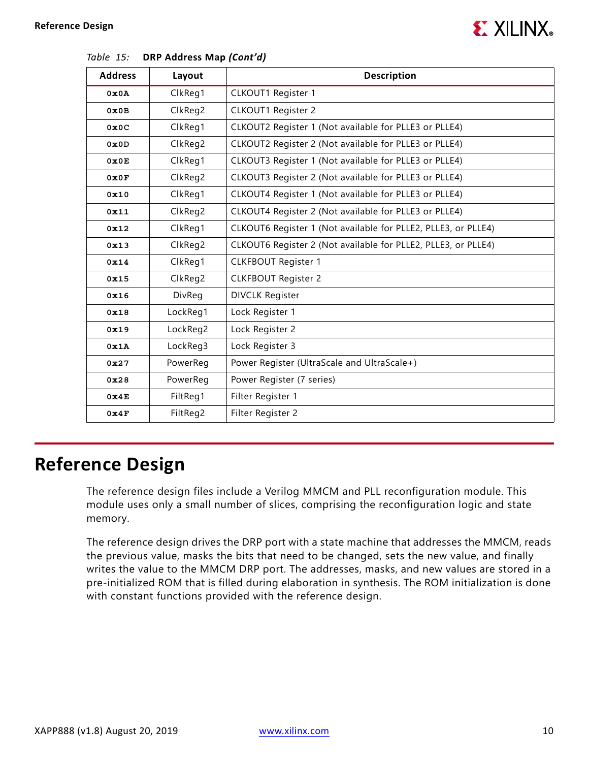

| <b>Address</b> | Layout   | <b>Description</b>                                            |
|----------------|----------|---------------------------------------------------------------|
| 0x0A           | ClkReg1  | CLKOUT1 Register 1                                            |
| 0x0B           | ClkReg2  | <b>CLKOUT1 Register 2</b>                                     |
| 0x0C           | ClkReg1  | CLKOUT2 Register 1 (Not available for PLLE3 or PLLE4)         |
| $0 \times 0$ D | ClkReg2  | CLKOUT2 Register 2 (Not available for PLLE3 or PLLE4)         |
| 0x0E           | ClkReg1  | CLKOUT3 Register 1 (Not available for PLLE3 or PLLE4)         |
| 0x0F           | ClkReg2  | CLKOUT3 Register 2 (Not available for PLLE3 or PLLE4)         |
| 0x10           | ClkReg1  | CLKOUT4 Register 1 (Not available for PLLE3 or PLLE4)         |
| 0x11           | ClkReg2  | CLKOUT4 Register 2 (Not available for PLLE3 or PLLE4)         |
| 0x12           | ClkReg1  | CLKOUT6 Register 1 (Not available for PLLE2, PLLE3, or PLLE4) |
| 0x13           | ClkReg2  | CLKOUT6 Register 2 (Not available for PLLE2, PLLE3, or PLLE4) |
| 0x14           | ClkReg1  | <b>CLKFBOUT Register 1</b>                                    |
| 0x15           | ClkReg2  | <b>CLKFBOUT Register 2</b>                                    |
| 0x16           | DivReg   | <b>DIVCLK Register</b>                                        |
| 0x18           | LockReg1 | Lock Register 1                                               |
| 0x19           | LockReg2 | Lock Register 2                                               |
| 0x1A           | LockReg3 | Lock Register 3                                               |
| 0x27           | PowerReg | Power Register (UltraScale and UltraScale+)                   |
| 0x28           | PowerReg | Power Register (7 series)                                     |
| 0x4E           | FiltReg1 | Filter Register 1                                             |
| 0x4F           | FiltReg2 | Filter Register 2                                             |

*Table 15:* **DRP Address Map** *(Cont'd)*

## <span id="page-9-0"></span>**Reference Design**

The reference design files include a Verilog MMCM and PLL reconfiguration module. This module uses only a small number of slices, comprising the reconfiguration logic and state memory.

The reference design drives the DRP port with a state machine that addresses the MMCM, reads the previous value, masks the bits that need to be changed, sets the new value, and finally writes the value to the MMCM DRP port. The addresses, masks, and new values are stored in a pre-initialized ROM that is filled during elaboration in synthesis. The ROM initialization is done with constant functions provided with the reference design.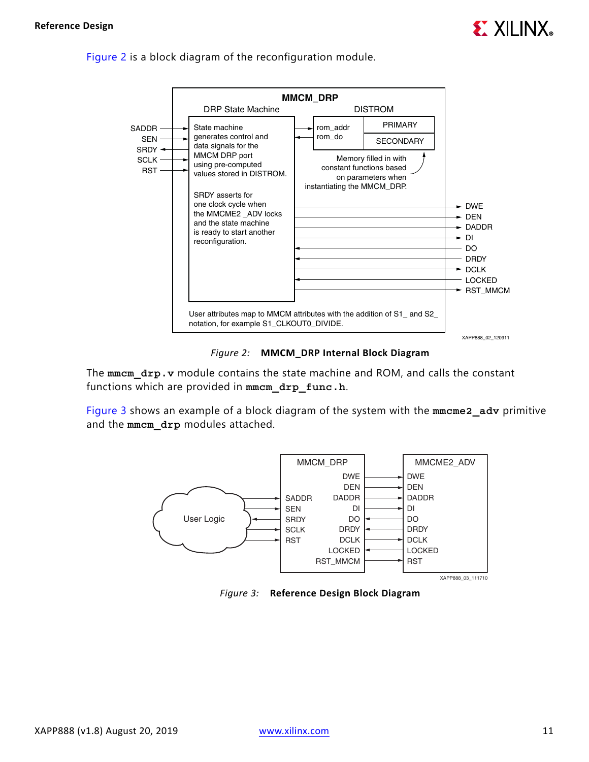

<span id="page-10-0"></span>[Figure 2](#page-10-0) is a block diagram of the reconfiguration module.



*Figure 2:* **MMCM\_DRP Internal Block Diagram**

The mmcm drp.v module contains the state machine and ROM, and calls the constant functions which are provided in  $mmcm$  drp func.h.

<span id="page-10-1"></span>[Figure 3](#page-10-1) shows an example of a block diagram of the system with the mancme2 adv primitive and the mmcm drp modules attached.



*Figure 3:* **Reference Design Block Diagram**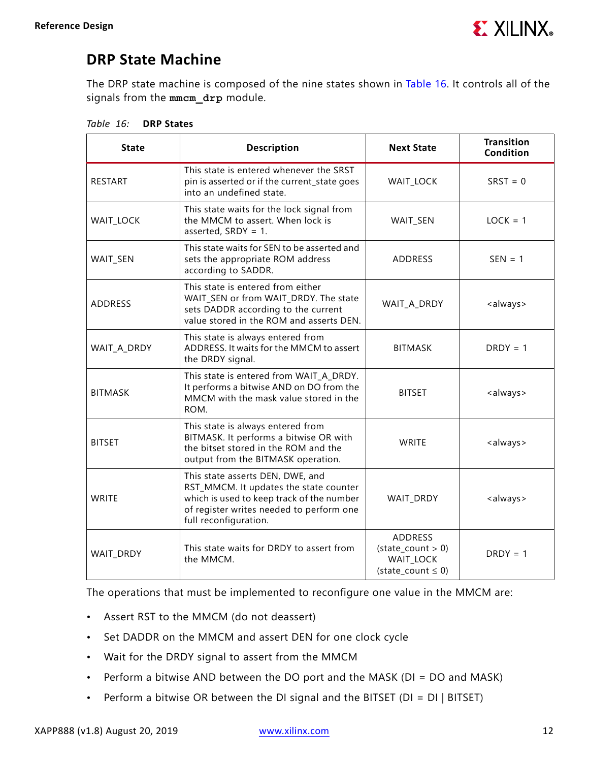

WAIT A DRDY  $\vert$  <always>

BITMASK DRDY = 1

BITSET | <always>

WRITE | <always>

WAIT DRDY | <always>

 $DRDY = 1$ 

ADDRESS  $(state_count > 0)$ 

## **DRP State Machine**

The DRP state machine is composed of the nine states shown in [Table 16.](#page-11-0) It controls all of the signals from the mmcm drp module.

| <b>State</b>   | <b>Description</b>                                                                                                  | <b>Next State</b> | <b>Transition</b><br>Condition |
|----------------|---------------------------------------------------------------------------------------------------------------------|-------------------|--------------------------------|
| <b>RESTART</b> | This state is entered whenever the SRST<br>pin is asserted or if the current_state goes<br>into an undefined state. | WAIT_LOCK         | $SRST = 0$                     |
| WAIT_LOCK      | This state waits for the lock signal from<br>the MMCM to assert. When lock is<br>asserted, $SRDY = 1$ .             | WAIT SEN          | $LOCK = 1$                     |
| WAIT SEN       | This state waits for SEN to be asserted and<br>sets the appropriate ROM address<br>according to SADDR.              | ADDRESS           | $SEN = 1$                      |

the DRDY signal.

ROM.

This state is entered from either

This state is always entered from

This state is always entered from BITMASK. It performs a bitwise OR with the bitset stored in the ROM and the output from the BITMASK operation.

This state asserts DEN, DWE, and

RST\_MMCM. It updates the state counter which is used to keep track of the number of register writes needed to perform one

WAIT\_SEN or from WAIT\_DRDY. The state sets DADDR according to the current value stored in the ROM and asserts DEN.

ADDRESS. It waits for the MMCM to assert

This state is entered from WAIT\_A\_DRDY. It performs a bitwise AND on DO from the MMCM with the mask value stored in the

<span id="page-11-0"></span>*Table 16:* **DRP States**

ADDRESS

BITMASK

BITSET

**WRITE** 

WAIT A DRDY

The operations that must be implemented to reconfigure one value in the MMCM are: the MMCM. WAIT\_LOCK  $(state_count \leq 0)$ 

- Assert RST to the MMCM (do not deassert)
- Set DADDR on the MMCM and assert DEN for one clock cycle
- Wait for the DRDY signal to assert from the MMCM

full reconfiguration.

WAIT\_DRDY This state waits for DRDY to assert from

- Perform a bitwise AND between the DO port and the MASK (DI = DO and MASK)
- Perform a bitwise OR between the DI signal and the BITSET (DI = DI | BITSET)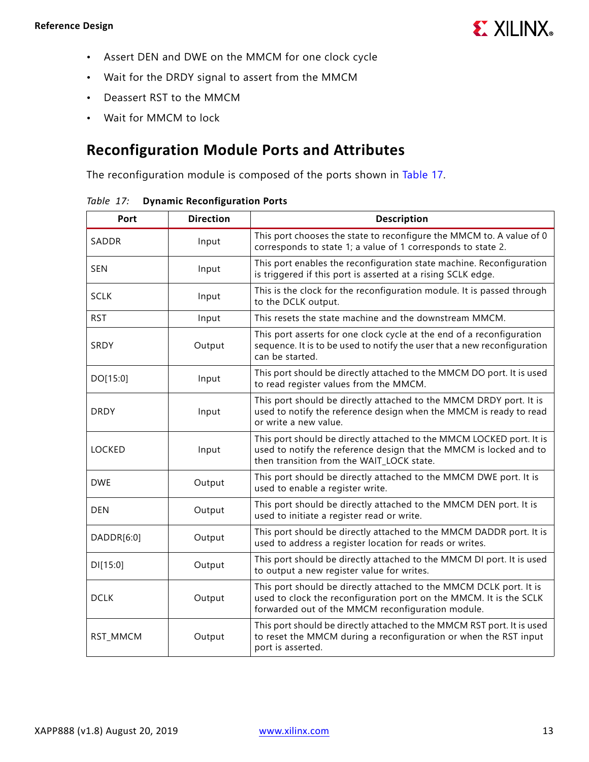

- Assert DEN and DWE on the MMCM for one clock cycle
- Wait for the DRDY signal to assert from the MMCM
- Deassert RST to the MMCM
- Wait for MMCM to lock

### <span id="page-12-0"></span>**Reconfiguration Module Ports and Attributes**

The reconfiguration module is composed of the ports shown in [Table 17](#page-12-1).

| Port          | <b>Direction</b> | <b>Description</b>                                                                                                                                                                            |
|---------------|------------------|-----------------------------------------------------------------------------------------------------------------------------------------------------------------------------------------------|
| SADDR         | Input            | This port chooses the state to reconfigure the MMCM to. A value of 0<br>corresponds to state 1; a value of 1 corresponds to state 2.                                                          |
| <b>SEN</b>    | Input            | This port enables the reconfiguration state machine. Reconfiguration<br>is triggered if this port is asserted at a rising SCLK edge.                                                          |
| <b>SCLK</b>   | Input            | This is the clock for the reconfiguration module. It is passed through<br>to the DCLK output.                                                                                                 |
| <b>RST</b>    | Input            | This resets the state machine and the downstream MMCM.                                                                                                                                        |
| <b>SRDY</b>   | Output           | This port asserts for one clock cycle at the end of a reconfiguration<br>sequence. It is to be used to notify the user that a new reconfiguration<br>can be started.                          |
| DO[15:0]      | Input            | This port should be directly attached to the MMCM DO port. It is used<br>to read register values from the MMCM.                                                                               |
| <b>DRDY</b>   | Input            | This port should be directly attached to the MMCM DRDY port. It is<br>used to notify the reference design when the MMCM is ready to read<br>or write a new value.                             |
| <b>LOCKED</b> | Input            | This port should be directly attached to the MMCM LOCKED port. It is<br>used to notify the reference design that the MMCM is locked and to<br>then transition from the WAIT LOCK state.       |
| <b>DWE</b>    | Output           | This port should be directly attached to the MMCM DWE port. It is<br>used to enable a register write.                                                                                         |
| <b>DEN</b>    | Output           | This port should be directly attached to the MMCM DEN port. It is<br>used to initiate a register read or write.                                                                               |
| DADDR[6:0]    | Output           | This port should be directly attached to the MMCM DADDR port. It is<br>used to address a register location for reads or writes.                                                               |
| DI[15:0]      | Output           | This port should be directly attached to the MMCM DI port. It is used<br>to output a new register value for writes.                                                                           |
| <b>DCLK</b>   | Output           | This port should be directly attached to the MMCM DCLK port. It is<br>used to clock the reconfiguration port on the MMCM. It is the SCLK<br>forwarded out of the MMCM reconfiguration module. |
| RST_MMCM      | Output           | This port should be directly attached to the MMCM RST port. It is used<br>to reset the MMCM during a reconfiguration or when the RST input<br>port is asserted.                               |

<span id="page-12-1"></span>*Table 17:* **Dynamic Reconfiguration Ports**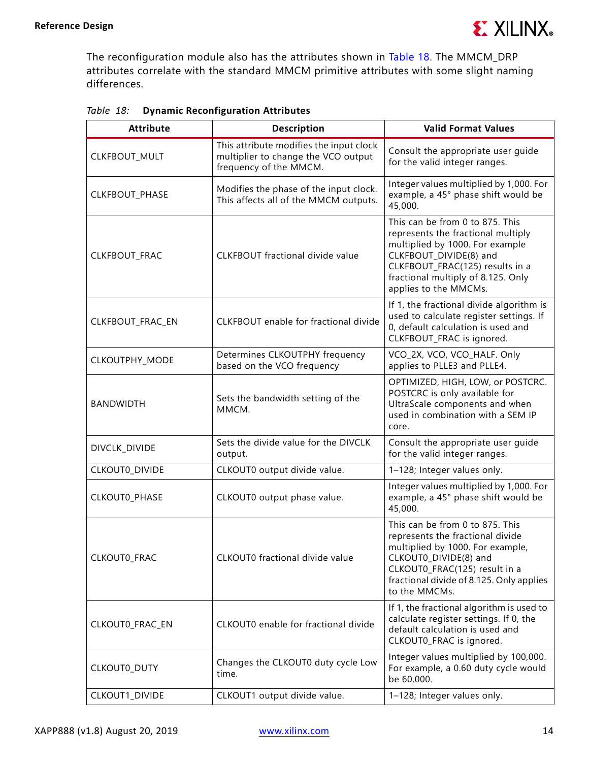

The reconfiguration module also has the attributes shown in [Table 18.](#page-13-0) The MMCM\_DRP attributes correlate with the standard MMCM primitive attributes with some slight naming differences.

| <b>Attribute</b> | <b>Description</b>                                                                                       | <b>Valid Format Values</b>                                                                                                                                                                                                           |
|------------------|----------------------------------------------------------------------------------------------------------|--------------------------------------------------------------------------------------------------------------------------------------------------------------------------------------------------------------------------------------|
| CLKFBOUT_MULT    | This attribute modifies the input clock<br>multiplier to change the VCO output<br>frequency of the MMCM. | Consult the appropriate user guide<br>for the valid integer ranges.                                                                                                                                                                  |
| CLKFBOUT_PHASE   | Modifies the phase of the input clock.<br>This affects all of the MMCM outputs.                          | Integer values multiplied by 1,000. For<br>example, a 45° phase shift would be<br>45,000.                                                                                                                                            |
| CLKFBOUT_FRAC    | <b>CLKFBOUT fractional divide value</b>                                                                  | This can be from 0 to 875. This<br>represents the fractional multiply<br>multiplied by 1000. For example<br>CLKFBOUT_DIVIDE(8) and<br>CLKFBOUT_FRAC(125) results in a<br>fractional multiply of 8.125. Only<br>applies to the MMCMs. |
| CLKFBOUT_FRAC_EN | CLKFBOUT enable for fractional divide                                                                    | If 1, the fractional divide algorithm is<br>used to calculate register settings. If<br>0, default calculation is used and<br>CLKFBOUT_FRAC is ignored.                                                                               |
| CLKOUTPHY_MODE   | Determines CLKOUTPHY frequency<br>based on the VCO frequency                                             | VCO_2X, VCO, VCO_HALF. Only<br>applies to PLLE3 and PLLE4.                                                                                                                                                                           |
| <b>BANDWIDTH</b> | Sets the bandwidth setting of the<br>MMCM.                                                               | OPTIMIZED, HIGH, LOW, or POSTCRC.<br>POSTCRC is only available for<br>UltraScale components and when<br>used in combination with a SEM IP<br>core.                                                                                   |
| DIVCLK_DIVIDE    | Sets the divide value for the DIVCLK<br>output.                                                          | Consult the appropriate user guide<br>for the valid integer ranges.                                                                                                                                                                  |
| CLKOUT0_DIVIDE   | CLKOUT0 output divide value.                                                                             | 1-128; Integer values only.                                                                                                                                                                                                          |
| CLKOUT0_PHASE    | CLKOUT0 output phase value.                                                                              | Integer values multiplied by 1,000. For<br>example, a 45° phase shift would be<br>45,000.                                                                                                                                            |
| CLKOUT0_FRAC     | CLKOUT0 fractional divide value                                                                          | This can be from 0 to 875. This<br>represents the fractional divide<br>multiplied by 1000. For example,<br>CLKOUT0_DIVIDE(8) and<br>CLKOUT0_FRAC(125) result in a<br>fractional divide of 8.125. Only applies<br>to the MMCMs.       |
| CLKOUT0_FRAC_EN  | CLKOUT0 enable for fractional divide                                                                     | If 1, the fractional algorithm is used to<br>calculate register settings. If 0, the<br>default calculation is used and<br>CLKOUT0_FRAC is ignored.                                                                                   |
| CLKOUT0_DUTY     | Changes the CLKOUT0 duty cycle Low<br>time.                                                              | Integer values multiplied by 100,000.<br>For example, a 0.60 duty cycle would<br>be 60,000.                                                                                                                                          |
| CLKOUT1_DIVIDE   | CLKOUT1 output divide value.                                                                             | 1-128; Integer values only.                                                                                                                                                                                                          |

<span id="page-13-0"></span>

|  |  | Table 18: Dynamic Reconfiguration Attributes |
|--|--|----------------------------------------------|
|--|--|----------------------------------------------|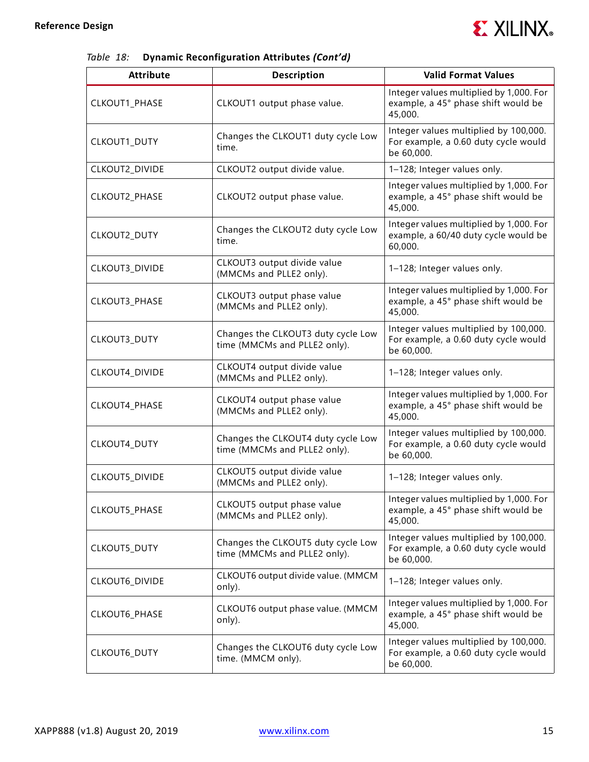

*Table 18:* **Dynamic Reconfiguration Attributes** *(Cont'd)*

| <b>Attribute</b>    | <b>Description</b>                                                 | <b>Valid Format Values</b>                                                                  |
|---------------------|--------------------------------------------------------------------|---------------------------------------------------------------------------------------------|
| CLKOUT1_PHASE       | CLKOUT1 output phase value.                                        | Integer values multiplied by 1,000. For<br>example, a 45° phase shift would be<br>45,000.   |
| CLKOUT1_DUTY        | Changes the CLKOUT1 duty cycle Low<br>time.                        | Integer values multiplied by 100,000.<br>For example, a 0.60 duty cycle would<br>be 60,000. |
| CLKOUT2_DIVIDE      | CLKOUT2 output divide value.                                       | 1-128; Integer values only.                                                                 |
| CLKOUT2_PHASE       | CLKOUT2 output phase value.                                        | Integer values multiplied by 1,000. For<br>example, a 45° phase shift would be<br>45,000.   |
| CLKOUT2_DUTY        | Changes the CLKOUT2 duty cycle Low<br>time.                        | Integer values multiplied by 1,000. For<br>example, a 60/40 duty cycle would be<br>60,000.  |
| CLKOUT3_DIVIDE      | CLKOUT3 output divide value<br>(MMCMs and PLLE2 only).             | 1-128; Integer values only.                                                                 |
| CLKOUT3_PHASE       | CLKOUT3 output phase value<br>(MMCMs and PLLE2 only).              | Integer values multiplied by 1,000. For<br>example, a 45° phase shift would be<br>45,000.   |
| <b>CLKOUT3 DUTY</b> | Changes the CLKOUT3 duty cycle Low<br>time (MMCMs and PLLE2 only). | Integer values multiplied by 100,000.<br>For example, a 0.60 duty cycle would<br>be 60,000. |
| CLKOUT4_DIVIDE      | CLKOUT4 output divide value<br>(MMCMs and PLLE2 only).             | 1-128; Integer values only.                                                                 |
| CLKOUT4_PHASE       | CLKOUT4 output phase value<br>(MMCMs and PLLE2 only).              | Integer values multiplied by 1,000. For<br>example, a 45° phase shift would be<br>45,000.   |
| CLKOUT4_DUTY        | Changes the CLKOUT4 duty cycle Low<br>time (MMCMs and PLLE2 only). | Integer values multiplied by 100,000.<br>For example, a 0.60 duty cycle would<br>be 60,000. |
| CLKOUT5_DIVIDE      | CLKOUT5 output divide value<br>(MMCMs and PLLE2 only).             | 1-128; Integer values only.                                                                 |
| CLKOUT5_PHASE       | CLKOUT5 output phase value<br>(MMCMs and PLLE2 only).              | Integer values multiplied by 1,000. For<br>example, a 45° phase shift would be<br>45,000.   |
| <b>CLKOUT5 DUTY</b> | Changes the CLKOUT5 duty cycle Low<br>time (MMCMs and PLLE2 only). | Integer values multiplied by 100,000.<br>For example, a 0.60 duty cycle would<br>be 60,000. |
| CLKOUT6_DIVIDE      | CLKOUT6 output divide value. (MMCM<br>only).                       | 1-128; Integer values only.                                                                 |
| CLKOUT6_PHASE       | CLKOUT6 output phase value. (MMCM<br>only).                        | Integer values multiplied by 1,000. For<br>example, a 45° phase shift would be<br>45,000.   |
| CLKOUT6_DUTY        | Changes the CLKOUT6 duty cycle Low<br>time. (MMCM only).           | Integer values multiplied by 100,000.<br>For example, a 0.60 duty cycle would<br>be 60,000. |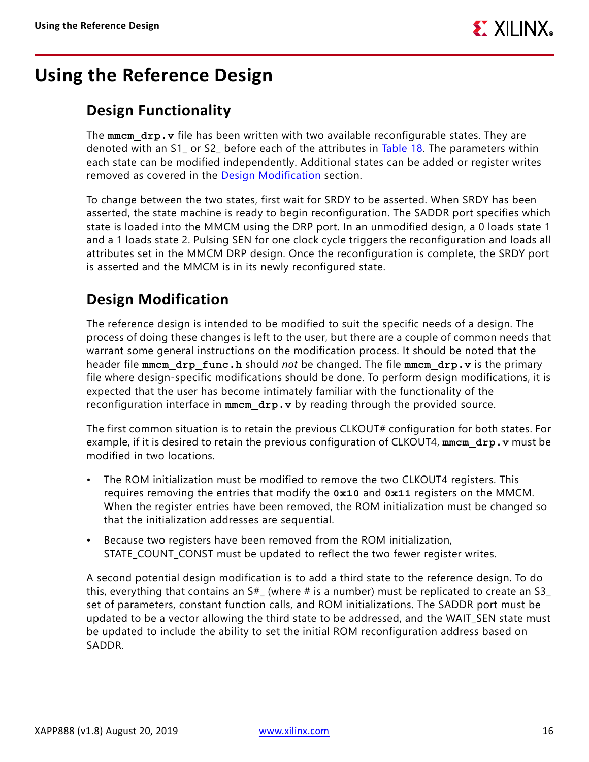# <span id="page-15-0"></span>**Using the Reference Design**

## <span id="page-15-2"></span>**Design Functionality**

The  $mmcm$   $\alpha$   $\alpha$  file has been written with two available reconfigurable states. They are denoted with an S1 or S2 before each of the attributes in [Table 18.](#page-13-0) The parameters within each state can be modified independently. Additional states can be added or register writes removed as covered in the [Design Modification](#page-15-1) section.

To change between the two states, first wait for SRDY to be asserted. When SRDY has been asserted, the state machine is ready to begin reconfiguration. The SADDR port specifies which state is loaded into the MMCM using the DRP port. In an unmodified design, a 0 loads state 1 and a 1 loads state 2. Pulsing SEN for one clock cycle triggers the reconfiguration and loads all attributes set in the MMCM DRP design. Once the reconfiguration is complete, the SRDY port is asserted and the MMCM is in its newly reconfigured state.

## <span id="page-15-1"></span>**Design Modification**

The reference design is intended to be modified to suit the specific needs of a design. The process of doing these changes is left to the user, but there are a couple of common needs that warrant some general instructions on the modification process. It should be noted that the header file mmcm\_drp\_func.h should *not* be changed. The file mmcm\_drp.v is the primary file where design-specific modifications should be done. To perform design modifications, it is expected that the user has become intimately familiar with the functionality of the reconfiguration interface in  $m m c m d r p \cdot v$  by reading through the provided source.

The first common situation is to retain the previous CLKOUT# configuration for both states. For example, if it is desired to retain the previous configuration of CLKOUT4,  $mmcm$   $\text{drp.v}$  must be modified in two locations.

- The ROM initialization must be modified to remove the two CLKOUT4 registers. This requires removing the entries that modify the  $0x10$  and  $0x11$  registers on the MMCM. When the register entries have been removed, the ROM initialization must be changed so that the initialization addresses are sequential.
- Because two registers have been removed from the ROM initialization, STATE\_COUNT\_CONST must be updated to reflect the two fewer register writes.

A second potential design modification is to add a third state to the reference design. To do this, everything that contains an  $S#$  (where # is a number) must be replicated to create an  $S_2$ set of parameters, constant function calls, and ROM initializations. The SADDR port must be updated to be a vector allowing the third state to be addressed, and the WAIT\_SEN state must be updated to include the ability to set the initial ROM reconfiguration address based on SADDR.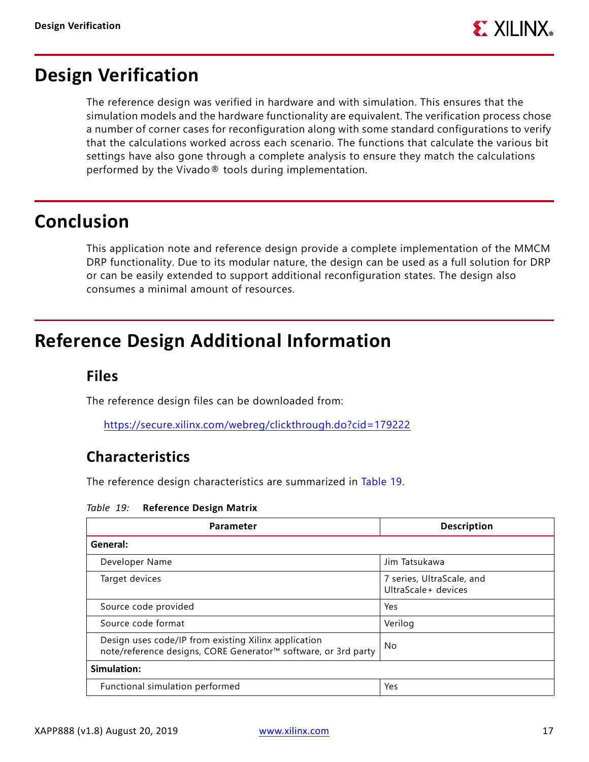## <span id="page-16-2"></span>**Design Verification**

The reference design was verified in hardware and with simulation. This ensures that the simulation models and the hardware functionality are equivalent. The verification process chose a number of corner cases for reconfiguration along with some standard configurations to verify that the calculations worked across each scenario. The functions that calculate the various bit settings have also gone through a complete analysis to ensure they match the calculations performed by the Vivado® tools during implementation.

## <span id="page-16-3"></span>**Conclusion**

This application note and reference design provide a complete implementation of the MMCM DRP functionality. Due to its modular nature, the design can be used as a full solution for DRP or can be easily extended to support additional reconfiguration states. The design also consumes a minimal amount of resources.

# **Reference Design Additional Information**

#### <span id="page-16-1"></span>**Files**

The reference design files can be downloaded from:

<https://secure.xilinx.com/webreg/clickthrough.do?cid=179222>

## **Characteristics**

The reference design characteristics are summarized in [Table 19](#page-16-0).

<span id="page-16-0"></span>*Table 19:* **Reference Design Matrix**

| Parameter                                                                                                                          | <b>Description</b>                               |  |  |  |
|------------------------------------------------------------------------------------------------------------------------------------|--------------------------------------------------|--|--|--|
| General:                                                                                                                           |                                                  |  |  |  |
| Developer Name                                                                                                                     | Jim Tatsukawa                                    |  |  |  |
| Target devices                                                                                                                     | 7 series, UltraScale, and<br>UltraScale+ devices |  |  |  |
| Source code provided                                                                                                               | Yes                                              |  |  |  |
| Source code format                                                                                                                 | Verilog                                          |  |  |  |
| Design uses code/IP from existing Xilinx application<br>note/reference designs, CORE Generator <sup>™</sup> software, or 3rd party | No                                               |  |  |  |
| Simulation:                                                                                                                        |                                                  |  |  |  |
| Functional simulation performed                                                                                                    | Yes                                              |  |  |  |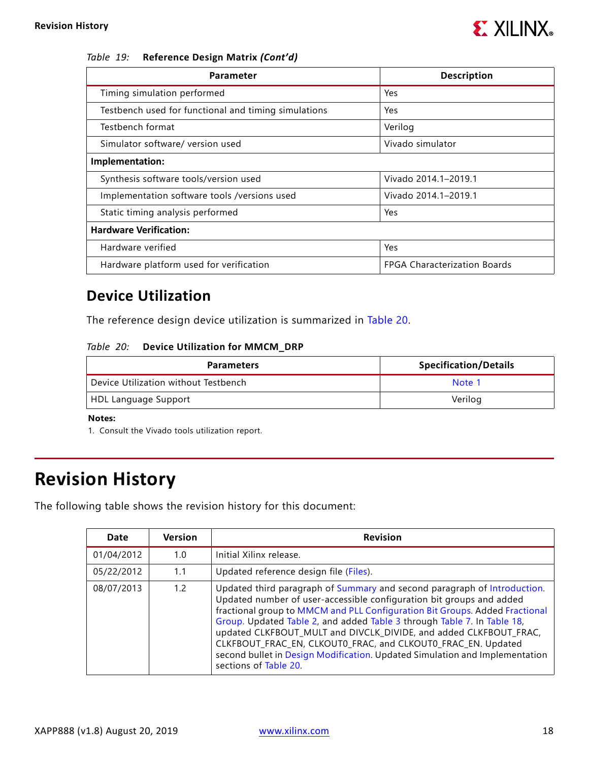

#### *Table 19:* **Reference Design Matrix** *(Cont'd)*

| Parameter                                            | <b>Description</b>                  |  |  |  |
|------------------------------------------------------|-------------------------------------|--|--|--|
| Timing simulation performed                          | Yes                                 |  |  |  |
| Testbench used for functional and timing simulations | Yes                                 |  |  |  |
| Testbench format                                     | Verilog                             |  |  |  |
| Simulator software/ version used                     | Vivado simulator                    |  |  |  |
| Implementation:                                      |                                     |  |  |  |
| Synthesis software tools/version used                | Vivado 2014.1-2019.1                |  |  |  |
| Implementation software tools /versions used         | Vivado 2014.1-2019.1                |  |  |  |
| Static timing analysis performed                     | Yes                                 |  |  |  |
| <b>Hardware Verification:</b>                        |                                     |  |  |  |
| Hardware verified                                    | Yes                                 |  |  |  |
| Hardware platform used for verification              | <b>FPGA Characterization Boards</b> |  |  |  |

#### <span id="page-17-2"></span>**Device Utilization**

The reference design device utilization is summarized in [Table 20](#page-17-0).

#### <span id="page-17-0"></span>*Table 20:* **Device Utilization for MMCM\_DRP**

| <b>Parameters</b>                    | <b>Specification/Details</b> |
|--------------------------------------|------------------------------|
| Device Utilization without Testbench | Note 1                       |
| <b>HDL Language Support</b>          | Verilog                      |

#### **Notes:**

<span id="page-17-1"></span>1. Consult the Vivado tools utilization report.

# **Revision History**

The following table shows the revision history for this document:

| Date       | <b>Version</b> | <b>Revision</b>                                                                                                                                                                                                                                                                                                                                                                                                                                                                                                                                         |
|------------|----------------|---------------------------------------------------------------------------------------------------------------------------------------------------------------------------------------------------------------------------------------------------------------------------------------------------------------------------------------------------------------------------------------------------------------------------------------------------------------------------------------------------------------------------------------------------------|
| 01/04/2012 | 1.0            | Initial Xilinx release.                                                                                                                                                                                                                                                                                                                                                                                                                                                                                                                                 |
| 05/22/2012 | 1.1            | Updated reference design file (Files).                                                                                                                                                                                                                                                                                                                                                                                                                                                                                                                  |
| 08/07/2013 | 1.2            | Updated third paragraph of Summary and second paragraph of Introduction.<br>Updated number of user-accessible configuration bit groups and added<br>fractional group to MMCM and PLL Configuration Bit Groups. Added Fractional<br>Group. Updated Table 2, and added Table 3 through Table 7. In Table 18,<br>updated CLKFBOUT_MULT and DIVCLK_DIVIDE, and added CLKFBOUT_FRAC,<br>CLKFBOUT_FRAC_EN, CLKOUT0_FRAC, and CLKOUT0_FRAC_EN. Updated<br>second bullet in Design Modification. Updated Simulation and Implementation<br>sections of Table 20. |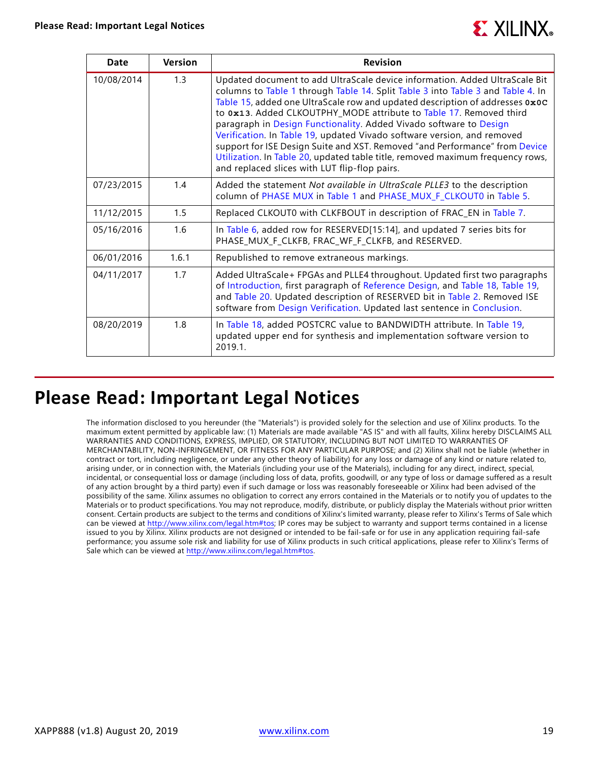

| Date       | Version | <b>Revision</b>                                                                                                                                                                                                                                                                                                                                                                                                                                                                                                                                                                                                                                                                         |
|------------|---------|-----------------------------------------------------------------------------------------------------------------------------------------------------------------------------------------------------------------------------------------------------------------------------------------------------------------------------------------------------------------------------------------------------------------------------------------------------------------------------------------------------------------------------------------------------------------------------------------------------------------------------------------------------------------------------------------|
| 10/08/2014 | 1.3     | Updated document to add UltraScale device information. Added UltraScale Bit<br>columns to Table 1 through Table 14. Split Table 3 into Table 3 and Table 4. In<br>Table 15, added one UltraScale row and updated description of addresses 0x0C<br>to 0x13. Added CLKOUTPHY_MODE attribute to Table 17. Removed third<br>paragraph in Design Functionality. Added Vivado software to Design<br>Verification. In Table 19, updated Vivado software version, and removed<br>support for ISE Design Suite and XST. Removed "and Performance" from Device<br>Utilization. In Table 20, updated table title, removed maximum frequency rows,<br>and replaced slices with LUT flip-flop pairs. |
| 07/23/2015 | 1.4     | Added the statement Not available in UltraScale PLLE3 to the description<br>column of PHASE MUX in Table 1 and PHASE_MUX_F_CLKOUT0 in Table 5.                                                                                                                                                                                                                                                                                                                                                                                                                                                                                                                                          |
| 11/12/2015 | 1.5     | Replaced CLKOUT0 with CLKFBOUT in description of FRAC_EN in Table 7.                                                                                                                                                                                                                                                                                                                                                                                                                                                                                                                                                                                                                    |
| 05/16/2016 | 1.6     | In Table 6, added row for RESERVED[15:14], and updated 7 series bits for<br>PHASE_MUX_F_CLKFB, FRAC_WF_F_CLKFB, and RESERVED.                                                                                                                                                                                                                                                                                                                                                                                                                                                                                                                                                           |
| 06/01/2016 | 1.6.1   | Republished to remove extraneous markings.                                                                                                                                                                                                                                                                                                                                                                                                                                                                                                                                                                                                                                              |
| 04/11/2017 | 1.7     | Added UltraScale+ FPGAs and PLLE4 throughout. Updated first two paragraphs<br>of Introduction, first paragraph of Reference Design, and Table 18, Table 19,<br>and Table 20. Updated description of RESERVED bit in Table 2. Removed ISE<br>software from Design Verification. Updated last sentence in Conclusion.                                                                                                                                                                                                                                                                                                                                                                     |
| 08/20/2019 | 1.8     | In Table 18, added POSTCRC value to BANDWIDTH attribute. In Table 19,<br>updated upper end for synthesis and implementation software version to<br>2019.1.                                                                                                                                                                                                                                                                                                                                                                                                                                                                                                                              |

## **Please Read: Important Legal Notices**

The information disclosed to you hereunder (the "Materials") is provided solely for the selection and use of Xilinx products. To the maximum extent permitted by applicable law: (1) Materials are made available "AS IS" and with all faults, Xilinx hereby DISCLAIMS ALL WARRANTIES AND CONDITIONS, EXPRESS, IMPLIED, OR STATUTORY, INCLUDING BUT NOT LIMITED TO WARRANTIES OF MERCHANTABILITY, NON-INFRINGEMENT, OR FITNESS FOR ANY PARTICULAR PURPOSE; and (2) Xilinx shall not be liable (whether in contract or tort, including negligence, or under any other theory of liability) for any loss or damage of any kind or nature related to, arising under, or in connection with, the Materials (including your use of the Materials), including for any direct, indirect, special, incidental, or consequential loss or damage (including loss of data, profits, goodwill, or any type of loss or damage suffered as a result of any action brought by a third party) even if such damage or loss was reasonably foreseeable or Xilinx had been advised of the possibility of the same. Xilinx assumes no obligation to correct any errors contained in the Materials or to notify you of updates to the Materials or to product specifications. You may not reproduce, modify, distribute, or publicly display the Materials without prior written consent. Certain products are subject to the terms and conditions of Xilinx's limited warranty, please refer to Xilinx's Terms of Sale which can be viewed at<http://www.xilinx.com/legal.htm#tos>; IP cores may be subject to warranty and support terms contained in a license issued to you by Xilinx. Xilinx products are not designed or intended to be fail-safe or for use in any application requiring fail-safe performance; you assume sole risk and liability for use of Xilinx products in such critical applications, please refer to Xilinx's Terms of Sale which can be viewed at [http://www.xilinx.com/legal.htm#tos.](http://www.xilinx.com/legal.htm#tos)